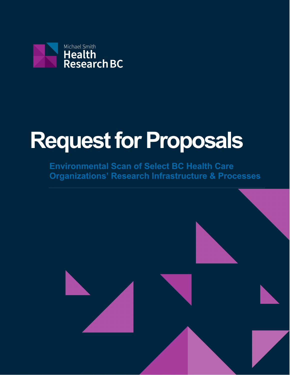

# **Request for Proposals**

**Environmental Scan of Select BC Health Care Organizations' Research Infrastructure & Processes**

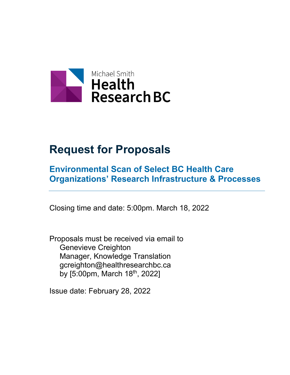

# **Request for Proposals**

# **Environmental Scan of Select BC Health Care Organizations' Research Infrastructure & Processes**

Closing time and date: 5:00pm. March 18, 2022

Proposals must be received via email to Genevieve Creighton Manager, Knowledge Translation gcreighton@healthresearchbc.ca by [5:00pm, March 18<sup>th</sup>, 2022]

Issue date: February 28, 2022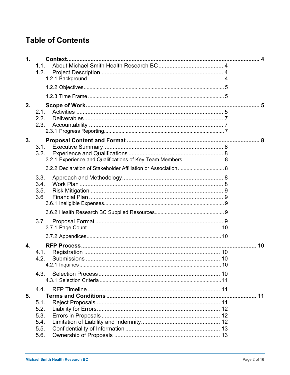# **Table of Contents**

| 1. |                                                             |    |
|----|-------------------------------------------------------------|----|
|    | 1.1.                                                        |    |
|    | 1.2.                                                        |    |
|    |                                                             |    |
|    |                                                             |    |
|    |                                                             |    |
| 2. |                                                             |    |
|    | 2.1.                                                        |    |
|    | 2.2.                                                        |    |
|    | 2.3.                                                        |    |
|    |                                                             |    |
| 3. |                                                             |    |
|    | 3.1.                                                        |    |
|    | 3.2.                                                        |    |
|    | 3.2.1. Experience and Qualifications of Key Team Members  8 |    |
|    |                                                             |    |
|    | 3.3.                                                        |    |
|    | 3.4.                                                        |    |
|    | 3.5.                                                        |    |
|    | 3.6                                                         |    |
|    |                                                             |    |
|    |                                                             |    |
|    | 3.7                                                         |    |
|    |                                                             |    |
|    |                                                             |    |
| 4. |                                                             | 10 |
|    | 4.1.                                                        |    |
|    | 4.2.                                                        |    |
|    |                                                             |    |
|    | 4.3.                                                        |    |
|    |                                                             |    |
|    | 4.4.                                                        |    |
| 5. |                                                             |    |
|    | 5.1.                                                        |    |
|    | 5.2.                                                        |    |
|    | 5.3.                                                        |    |
|    | 5.4.<br>5.5.                                                |    |
|    | 5.6.                                                        |    |
|    |                                                             |    |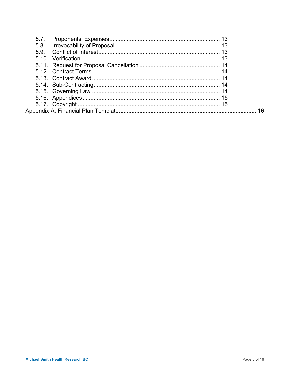| 5.7. |    |
|------|----|
| 5.8. |    |
| 5.9. |    |
|      |    |
|      |    |
|      |    |
|      |    |
|      |    |
|      |    |
|      |    |
|      |    |
|      | 16 |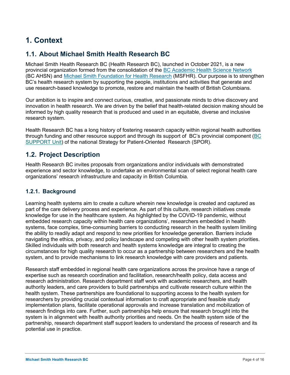# **1. Context**

# **1.1. About Michael Smith Health Research BC**

Michael Smith Health Research BC (Health Research BC), launched in October 2021, is a new provincial organization formed from the consolidation of the BC Academic Health Science Network (BC AHSN) and Michael Smith Foundation for Health Research (MSFHR). Our purpose is to strengthen BC's health research system by supporting the people, institutions and activities that generate and use research-based knowledge to promote, restore and maintain the health of British Columbians.

Our ambition is to inspire and connect curious, creative, and passionate minds to drive discovery and innovation in health research. We are driven by the belief that health-related decision making should be informed by high quality research that is produced and used in an equitable, diverse and inclusive research system.

Health Research BC has a long history of fostering research capacity within regional health authorities through funding and other resource support and through its support of BC's provincial component (BC SUPPORT Unit) of the national Strategy for Patient-Oriented Research (SPOR).

# **1.2. Project Description**

Health Research BC invites proposals from organizations and/or individuals with demonstrated experience and sector knowledge, to undertake an environmental scan of select regional health care organizations' research infrastructure and capacity in British Columbia.

#### **1.2.1. Background**

Learning health systems aim to create a culture wherein new knowledge is created and captured as part of the care delivery process and experience. As part of this culture, research initiatives create knowledge for use in the healthcare system. As highlighted by the COVID-19 pandemic, without embedded research capacity within health care organizations', researchers embedded in health systems, face complex, time-consuming barriers to conducting research in the health system limiting the ability to readily adapt and respond to new priorities for knowledge generation. Barriers include navigating the ethics, privacy, and policy landscape and competing with other health system priorities. Skilled individuals with both research and health systems knowledge are integral to creating the circumstances for high quality research to occur as a partnership between researchers and the health system, and to provide mechanisms to link research knowledge with care providers and patients.

Research staff embedded in regional health care organizations across the province have a range of expertise such as research coordination and facilitation, research/health policy, data access and research administration. Research department staff work with academic researchers, and health authority leaders, and care providers to build partnerships and cultivate research culture within the health system. These partnerships are foundational to supporting access to the health system for researchers by providing crucial contextual information to craft appropriate and feasible study implementation plans, facilitate operational approvals and increase translation and mobilization of research findings into care. Further, such partnerships help ensure that research brought into the system is in alignment with health authority priorities and needs. On the health system side of the partnership, research department staff support leaders to understand the process of research and its potential use in practice.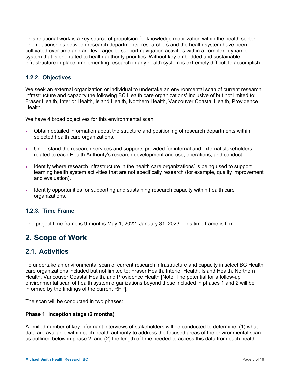This relational work is a key source of propulsion for knowledge mobilization within the health sector. The relationships between research departments, researchers and the health system have been cultivated over time and are leveraged to support navigation activities within a complex, dynamic system that is orientated to health authority priorities. Without key embedded and sustainable infrastructure in place, implementing research in any health system is extremely difficult to accomplish.

#### **1.2.2. Objectives**

We seek an external organization or individual to undertake an environmental scan of current research infrastructure and capacity the following BC Health care organizations' inclusive of but not limited to: Fraser Health, Interior Health, Island Health, Northern Health, Vancouver Coastal Health, Providence Health.

We have 4 broad objectives for this environmental scan:

- Obtain detailed information about the structure and positioning of research departments within selected health care organizations.
- Understand the research services and supports provided for internal and external stakeholders related to each Health Authority's research development and use, operations, and conduct
- Identify where research infrastructure in the health care organizations' is being used to support learning health system activities that are not specifically research (for example, quality improvement and evaluation).
- Identify opportunities for supporting and sustaining research capacity within health care organizations.

#### **1.2.3. Time Frame**

The project time frame is 9-months May 1, 2022- January 31, 2023. This time frame is firm.

# **2. Scope of Work**

#### **2.1. Activities**

To undertake an environmental scan of current research infrastructure and capacity in select BC Health care organizations included but not limited to: Fraser Health, Interior Health, Island Health, Northern Health, Vancouver Coastal Health, and Providence Health [Note: The potential for a follow-up environmental scan of health system organizations beyond those included in phases 1 and 2 will be informed by the findings of the current RFP].

The scan will be conducted in two phases:

#### **Phase 1: Inception stage (2 months)**

A limited number of key informant interviews of stakeholders will be conducted to determine, (1) what data are available within each health authority to address the focused areas of the environmental scan as outlined below in phase 2, and (2) the length of time needed to access this data from each health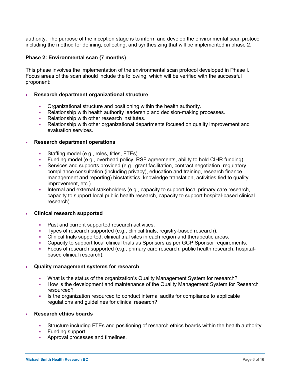authority. The purpose of the inception stage is to inform and develop the environmental scan protocol including the method for defining, collecting, and synthesizing that will be implemented in phase 2.

#### **Phase 2: Environmental scan (7 months)**

This phase involves the implementation of the environmental scan protocol developed in Phase I. Focus areas of the scan should include the following, which will be verified with the successful proponent:

#### • **Research department organizational structure**

- § Organizational structure and positioning within the health authority.
- § Relationship with health authority leadership and decision-making processes.
- Relationship with other research institutes.
- Relationship with other organizational departments focused on quality improvement and evaluation services.

#### • **Research department operations**

- Staffing model (e.g., roles, titles, FTEs).
- § Funding model (e.g., overhead policy, RSF agreements, ability to hold CIHR funding).
- Services and supports provided (e.g., grant facilitation, contract negotiation, regulatory compliance consultation (including privacy), education and training, research finance management and reporting) biostatistics, knowledge translation, activities tied to quality improvement, etc.).
- Internal and external stakeholders (e.g., capacity to support local primary care research, capacity to support local public health research, capacity to support hospital-based clinical research).

#### • **Clinical research supported**

- Past and current supported research activities.
- § Types of research supported (e.g., clinical trials, registry-based research).
- Clinical trials supported, clinical trial sites in each region and therapeutic areas.
- Capacity to support local clinical trials as Sponsors as per GCP Sponsor requirements.
- Focus of research supported (e.g., primary care research, public health research, hospitalbased clinical research).

#### • **Quality management systems for research**

- What is the status of the organization's Quality Management System for research?
- How is the development and maintenance of the Quality Management System for Research resourced?
- Is the organization resourced to conduct internal audits for compliance to applicable regulations and guidelines for clinical research?

#### • **Research ethics boards**

- § Structure including FTEs and positioning of research ethics boards within the health authority.
- Funding support.
- § Approval processes and timelines.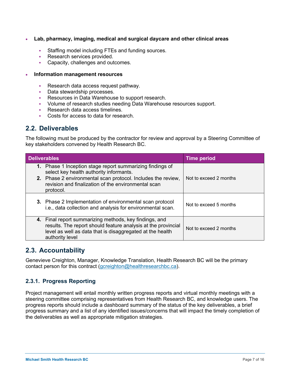- **Lab, pharmacy, imaging, medical and surgical daycare and other clinical areas**
	- § Staffing model including FTEs and funding sources.
	- Research services provided.
	- § Capacity, challenges and outcomes.
- **Information management resources** 
	- § Research data access request pathway.
	- Data stewardship processes.
	- Resources in Data Warehouse to support research.
	- § Volume of research studies needing Data Warehouse resources support.
	- § Research data access timelines.
	- § Costs for access to data for research.

## **2.2. Deliverables**

The following must be produced by the contractor for review and approval by a Steering Committee of key stakeholders convened by Health Research BC.

| <b>Deliverables</b>                                                                                                                                                                                                                      | <b>Time period</b>     |  |
|------------------------------------------------------------------------------------------------------------------------------------------------------------------------------------------------------------------------------------------|------------------------|--|
| 1. Phase 1 Inception stage report summarizing findings of<br>select key health authority informants.<br>2. Phase 2 environmental scan protocol. Includes the review,<br>revision and finalization of the environmental scan<br>protocol. | Not to exceed 2 months |  |
| 3. Phase 2 Implementation of environmental scan protocol<br>i.e., data collection and analysis for environmental scan.                                                                                                                   | Not to exceed 5 months |  |
| 4. Final report summarizing methods, key findings, and<br>results. The report should feature analysis at the provincial<br>level as well as data that is disaggregated at the health<br>authority level                                  | Not to exceed 2 months |  |

#### **2.3. Accountability**

Genevieve Creighton, Manager, Knowledge Translation, Health Research BC will be the primary contact person for this contract (gcreighton@healthresearchbc.ca).

#### **2.3.1. Progress Reporting**

Project management will entail monthly written progress reports and virtual monthly meetings with a steering committee comprising representatives from Health Research BC, and knowledge users. The progress reports should include a dashboard summary of the status of the key deliverables, a brief progress summary and a list of any identified issues/concerns that will impact the timely completion of the deliverables as well as appropriate mitigation strategies.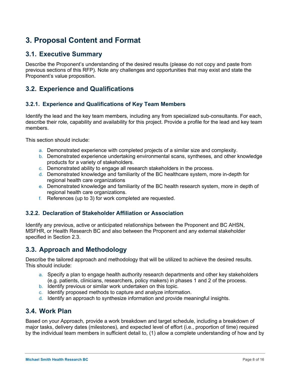# **3. Proposal Content and Format**

# **3.1. Executive Summary**

Describe the Proponent's understanding of the desired results (please do not copy and paste from previous sections of this RFP). Note any challenges and opportunities that may exist and state the Proponent's value proposition.

# **3.2. Experience and Qualifications**

#### **3.2.1. Experience and Qualifications of Key Team Members**

Identify the lead and the key team members, including any from specialized sub-consultants. For each, describe their role, capability and availability for this project. Provide a profile for the lead and key team members.

This section should include:

- a. Demonstrated experience with completed projects of a similar size and complexity.
- b. Demonstrated experience undertaking environmental scans, syntheses, and other knowledge products for a variety of stakeholders.
- c. Demonstrated ability to engage all research stakeholders in the process.
- d. Demonstrated knowledge and familiarity of the BC healthcare system, more in-depth for regional health care organizations
- e. Demonstrated knowledge and familiarity of the BC health research system, more in depth of regional health care organizations.
- f. References (up to 3) for work completed are requested.

#### **3.2.2. Declaration of Stakeholder Affiliation or Association**

Identify any previous, active or anticipated relationships between the Proponent and BC AHSN, MSFHR, or Health Research BC and also between the Proponent and any external stakeholder specified in Section 2.3.

# **3.3. Approach and Methodology**

Describe the tailored approach and methodology that will be utilized to achieve the desired results. This should include:

- a. Specify a plan to engage health authority research departments and other key stakeholders (e.g. patients, clinicians, researchers, policy makers) in phases 1 and 2 of the process.
- b. Identify previous or similar work undertaken on this topic.
- c. Identify proposed methods to capture and analyze information.
- d. Identify an approach to synthesize information and provide meaningful insights.

# **3.4. Work Plan**

Based on your Approach, provide a work breakdown and target schedule, including a breakdown of major tasks, delivery dates (milestones), and expected level of effort (i.e., proportion of time) required by the individual team members in sufficient detail to, (1) allow a complete understanding of how and by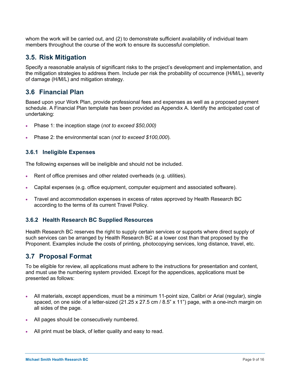whom the work will be carried out, and (2) to demonstrate sufficient availability of individual team members throughout the course of the work to ensure its successful completion.

# **3.5. Risk Mitigation**

Specify a reasonable analysis of significant risks to the project's development and implementation, and the mitigation strategies to address them. Include per risk the probability of occurrence (H/M/L), severity of damage (H/M/L) and mitigation strategy.

# **3.6 Financial Plan**

Based upon your Work Plan, provide professional fees and expenses as well as a proposed payment schedule. A Financial Plan template has been provided as Appendix A. Identify the anticipated cost of undertaking:

- Phase 1: the inception stage (*not to exceed \$50,000)*
- Phase 2: the environmental scan (*not to exceed \$100,000*).

#### **3.6.1 Ineligible Expenses**

The following expenses will be ineligible and should not be included.

- Rent of office premises and other related overheads (e.g. utilities).
- Capital expenses (e.g. office equipment, computer equipment and associated software).
- Travel and accommodation expenses in excess of rates approved by Health Research BC according to the terms of its current Travel Policy.

#### **3.6.2 Health Research BC Supplied Resources**

Health Research BC reserves the right to supply certain services or supports where direct supply of such services can be arranged by Health Research BC at a lower cost than that proposed by the Proponent. Examples include the costs of printing, photocopying services, long distance, travel, etc.

# **3.7 Proposal Format**

To be eligible for review, all applications must adhere to the instructions for presentation and content, and must use the numbering system provided. Except for the appendices, applications must be presented as follows:

- All materials, except appendices, must be a minimum 11-point size, Calibri or Arial (regular), single spaced, on one side of a letter-sized (21.25 x 27.5 cm / 8.5" x 11") page, with a one-inch margin on all sides of the page.
- All pages should be consecutively numbered.
- All print must be black, of letter quality and easy to read.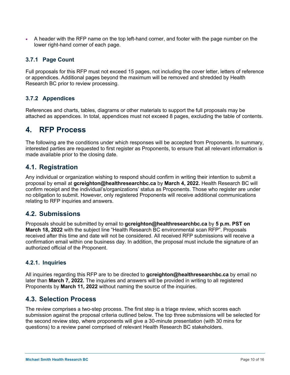• A header with the RFP name on the top left-hand corner, and footer with the page number on the lower right-hand corner of each page.

#### **3.7.1 Page Count**

Full proposals for this RFP must not exceed 15 pages, not including the cover letter, letters of reference or appendices. Additional pages beyond the maximum will be removed and shredded by Health Research BC prior to review processing.

#### **3.7.2 Appendices**

References and charts, tables, diagrams or other materials to support the full proposals may be attached as appendices. In total, appendices must not exceed 8 pages, excluding the table of contents.

# **4. RFP Process**

The following are the conditions under which responses will be accepted from Proponents. In summary, interested parties are requested to first register as Proponents, to ensure that all relevant information is made available prior to the closing date.

# **4.1. Registration**

Any individual or organization wishing to respond should confirm in writing their intention to submit a proposal by email at **gcreighton@healthresearchbc.ca** by **March 4, 2022.** Health Research BC will confirm receipt and the individual's/organizations' status as Proponents. Those who register are under no obligation to submit. However, only registered Proponents will receive additional communications relating to RFP inquiries and answers.

#### **4.2. Submissions**

Proposals should be submitted by email to **gcreighton@healthresearchbc.ca** by **5 p.m. PST on March 18, 2022** with the subject line "Health Research BC environmental scan RFP". Proposals received after this time and date will not be considered. All received RFP submissions will receive a confirmation email within one business day. In addition, the proposal must include the signature of an authorized official of the Proponent.

#### **4.2.1. Inquiries**

All inquiries regarding this RFP are to be directed to **gcreighton@healthresearchbc.ca** by email no later than **March 7, 2022.** The inquiries and answers will be provided in writing to all registered Proponents by **March 11, 2022** without naming the source of the inquiries.

# **4.3. Selection Process**

The review comprises a two-step process. The first step is a triage review, which scores each submission against the proposal criteria outlined below. The top three submissions will be selected for the second review step, where proponents will give a 30-minute presentation (with 30 mins for questions) to a review panel comprised of relevant Health Research BC stakeholders.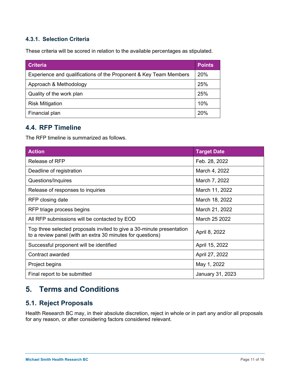## **4.3.1. Selection Criteria**

These criteria will be scored in relation to the available percentages as stipulated.

| <b>Criteria</b>                                                   | <b>Points</b> |
|-------------------------------------------------------------------|---------------|
| Experience and qualifications of the Proponent & Key Team Members | 20%           |
| Approach & Methodology                                            | 25%           |
| Quality of the work plan                                          | 25%           |
| <b>Risk Mitigation</b>                                            | 10%           |
| Financial plan                                                    | 20%           |

# **4.4. RFP Timeline**

The RFP timeline is summarized as follows.

| <b>Action</b>                                                                                                                       | <b>Target Date</b> |  |
|-------------------------------------------------------------------------------------------------------------------------------------|--------------------|--|
| <b>Release of RFP</b>                                                                                                               | Feb. 28, 2022      |  |
| Deadline of registration                                                                                                            | March 4, 2022      |  |
| Questions/Inquires                                                                                                                  | March 7, 2022      |  |
| Release of responses to inquiries                                                                                                   | March 11, 2022     |  |
| RFP closing date                                                                                                                    | March 18, 2022     |  |
| RFP triage process begins                                                                                                           | March 21, 2022     |  |
| All RFP submissions will be contacted by EOD                                                                                        | March 25 2022      |  |
| Top three selected proposals invited to give a 30-minute presentation<br>to a review panel (with an extra 30 minutes for questions) | April 8, 2022      |  |
| Successful proponent will be identified                                                                                             | April 15, 2022     |  |
| Contract awarded                                                                                                                    | April 27, 2022     |  |
| Project begins                                                                                                                      | May 1, 2022        |  |
| Final report to be submitted                                                                                                        | January 31, 2023   |  |

# **5. Terms and Conditions**

# **5.1. Reject Proposals**

Health Research BC may, in their absolute discretion, reject in whole or in part any and/or all proposals for any reason, or after considering factors considered relevant.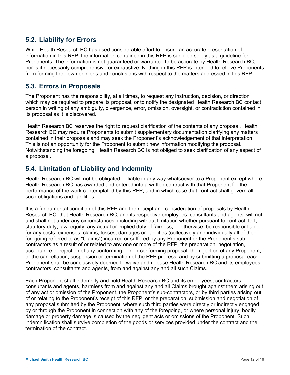# **5.2. Liability for Errors**

While Health Research BC has used considerable effort to ensure an accurate presentation of information in this RFP, the information contained in this RFP is supplied solely as a guideline for Proponents. The information is not guaranteed or warranted to be accurate by Health Research BC, nor is it necessarily comprehensive or exhaustive. Nothing in this RFP is intended to relieve Proponents from forming their own opinions and conclusions with respect to the matters addressed in this RFP.

# **5.3. Errors in Proposals**

The Proponent has the responsibility, at all times, to request any instruction, decision, or direction which may be required to prepare its proposal, or to notify the designated Health Research BC contact person in writing of any ambiguity, divergence, error, omission, oversight, or contradiction contained in its proposal as it is discovered.

Health Research BC reserves the right to request clarification of the contents of any proposal. Health Research BC may require Proponents to submit supplementary documentation clarifying any matters contained in their proposals and may seek the Proponent's acknowledgement of that interpretation. This is not an opportunity for the Proponent to submit new information modifying the proposal. Notwithstanding the foregoing, Health Research BC is not obliged to seek clarification of any aspect of a proposal.

# **5.4. Limitation of Liability and Indemnity**

Health Research BC will not be obligated or liable in any way whatsoever to a Proponent except where Health Research BC has awarded and entered into a written contract with that Proponent for the performance of the work contemplated by this RFP, and in which case that contract shall govern all such obligations and liabilities.

It is a fundamental condition of this RFP and the receipt and consideration of proposals by Health Research BC, that Health Research BC, and its respective employees, consultants and agents, will not and shall not under any circumstances, including without limitation whether pursuant to contract, tort, statutory duty, law, equity, any actual or implied duty of fairness, or otherwise, be responsible or liable for any costs, expenses, claims, losses, damages or liabilities (collectively and individually all of the foregoing referred to as "Claims") incurred or suffered by any Proponent or the Proponent's subcontractors as a result of or related to any one or more of the RFP, the preparation, negotiation, acceptance or rejection of any conforming or non-conforming proposal, the rejection of any Proponent, or the cancellation, suspension or termination of the RFP process, and by submitting a proposal each Proponent shall be conclusively deemed to waive and release Health Research BC and its employees, contractors, consultants and agents, from and against any and all such Claims.

Each Proponent shall indemnify and hold Health Research BC and its employees, contractors, consultants and agents, harmless from and against any and all Claims brought against them arising out of any act or omission of the Proponent, the Proponent's sub-contractors, or by third parties arising out of or relating to the Proponent's receipt of this RFP, or the preparation, submission and negotiation of any proposal submitted by the Proponent, where such third parties were directly or indirectly engaged by or through the Proponent in connection with any of the foregoing, or where personal injury, bodily damage or property damage is caused by the negligent acts or omissions of the Proponent. Such indemnification shall survive completion of the goods or services provided under the contract and the termination of the contract.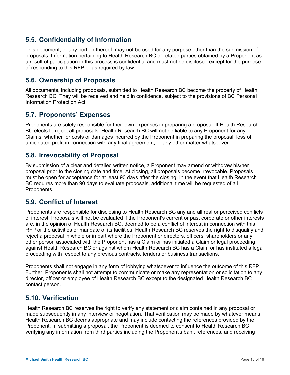# **5.5. Confidentiality of Information**

This document, or any portion thereof, may not be used for any purpose other than the submission of proposals. Information pertaining to Health Research BC or related parties obtained by a Proponent as a result of participation in this process is confidential and must not be disclosed except for the purpose of responding to this RFP or as required by law.

# **5.6. Ownership of Proposals**

All documents, including proposals, submitted to Health Research BC become the property of Health Research BC. They will be received and held in confidence, subject to the provisions of BC Personal Information Protection Act.

# **5.7. Proponents' Expenses**

Proponents are solely responsible for their own expenses in preparing a proposal. If Health Research BC elects to reject all proposals, Health Research BC will not be liable to any Proponent for any Claims, whether for costs or damages incurred by the Proponent in preparing the proposal, loss of anticipated profit in connection with any final agreement, or any other matter whatsoever.

# **5.8. Irrevocability of Proposal**

By submission of a clear and detailed written notice, a Proponent may amend or withdraw his/her proposal prior to the closing date and time. At closing, all proposals become irrevocable. Proposals must be open for acceptance for at least 90 days after the closing. In the event that Health Research BC requires more than 90 days to evaluate proposals, additional time will be requested of all Proponents.

# **5.9. Conflict of Interest**

Proponents are responsible for disclosing to Health Research BC any and all real or perceived conflicts of interest. Proposals will not be evaluated if the Proponent's current or past corporate or other interests are, in the opinion of Health Research BC, deemed to be a conflict of interest in connection with this RFP or the activities or mandate of its facilities. Health Research BC reserves the right to disqualify and reject a proposal in whole or in part where the Proponent or directors, officers, shareholders or any other person associated with the Proponent has a Claim or has initiated a Claim or legal proceeding against Health Research BC or against whom Health Research BC has a Claim or has instituted a legal proceeding with respect to any previous contracts, tenders or business transactions.

Proponents shall not engage in any form of lobbying whatsoever to influence the outcome of this RFP. Further, Proponents shall not attempt to communicate or make any representation or solicitation to any director, officer or employee of Health Research BC except to the designated Health Research BC contact person.

# **5.10. Verification**

Health Research BC reserves the right to verify any statement or claim contained in any proposal or made subsequently in any interview or negotiation. That verification may be made by whatever means Health Research BC deems appropriate and may include contacting the references provided by the Proponent. In submitting a proposal, the Proponent is deemed to consent to Health Research BC verifying any information from third parties including the Proponent's bank references, and receiving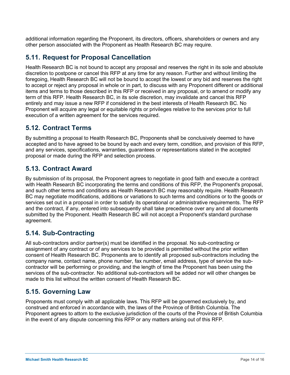additional information regarding the Proponent, its directors, officers, shareholders or owners and any other person associated with the Proponent as Health Research BC may require.

# **5.11. Request for Proposal Cancellation**

Health Research BC is not bound to accept any proposal and reserves the right in its sole and absolute discretion to postpone or cancel this RFP at any time for any reason. Further and without limiting the foregoing, Health Research BC will not be bound to accept the lowest or any bid and reserves the right to accept or reject any proposal in whole or in part, to discuss with any Proponent different or additional items and terms to those described in this RFP or received in any proposal, or to amend or modify any term of this RFP. Health Research BC, in its sole discretion, may invalidate and cancel this RFP entirely and may issue a new RFP if considered in the best interests of Health Research BC. No Proponent will acquire any legal or equitable rights or privileges relative to the services prior to full execution of a written agreement for the services required.

# **5.12. Contract Terms**

By submitting a proposal to Health Research BC, Proponents shall be conclusively deemed to have accepted and to have agreed to be bound by each and every term, condition, and provision of this RFP, and any services, specifications, warranties, guarantees or representations stated in the accepted proposal or made during the RFP and selection process.

# **5.13. Contract Award**

By submission of its proposal, the Proponent agrees to negotiate in good faith and execute a contract with Health Research BC incorporating the terms and conditions of this RFP, the Proponent's proposal, and such other terms and conditions as Health Research BC may reasonably require. Health Research BC may negotiate modifications, additions or variations to such terms and conditions or to the goods or services set out in a proposal in order to satisfy its operational or administrative requirements. The RFP and the contract, if any, entered into subsequently shall take precedence over any and all documents submitted by the Proponent. Health Research BC will not accept a Proponent's standard purchase agreement.

# **5.14. Sub-Contracting**

All sub-contractors and/or partner(s) must be identified in the proposal. No sub-contracting or assignment of any contract or of any services to be provided is permitted without the prior written consent of Health Research BC. Proponents are to identify all proposed sub-contractors including the company name, contact name, phone number, fax number, email address, type of service the subcontractor will be performing or providing, and the length of time the Proponent has been using the services of the sub-contractor. No additional sub-contractors will be added nor will other changes be made to this list without the written consent of Health Research BC.

# **5.15. Governing Law**

Proponents must comply with all applicable laws. This RFP will be governed exclusively by, and construed and enforced in accordance with, the laws of the Province of British Columbia. The Proponent agrees to attorn to the exclusive jurisdiction of the courts of the Province of British Columbia in the event of any dispute concerning this RFP or any matters arising out of this RFP.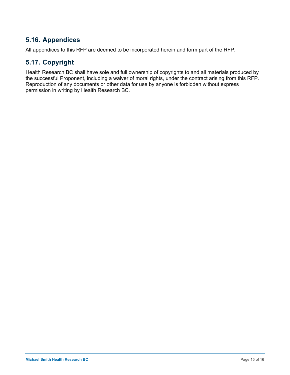# **5.16. Appendices**

All appendices to this RFP are deemed to be incorporated herein and form part of the RFP.

# **5.17. Copyright**

Health Research BC shall have sole and full ownership of copyrights to and all materials produced by the successful Proponent, including a waiver of moral rights, under the contract arising from this RFP. Reproduction of any documents or other data for use by anyone is forbidden without express permission in writing by Health Research BC.